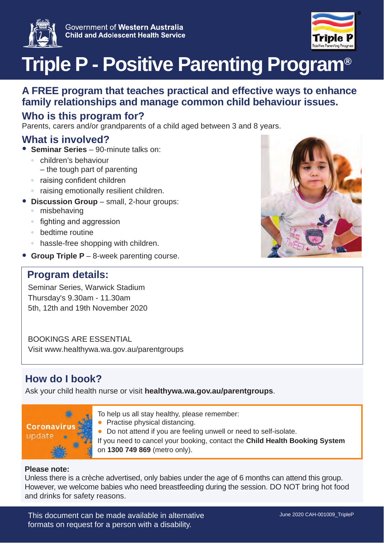



# **Triple P - Positive Parenting Program®**

### **A FREE program that teaches practical and effective ways to enhance family relationships and manage common child behaviour issues.**

## **Who is this program for?**

Parents, carers and/or grandparents of a child aged between 3 and 8 years.

#### **What is involved?**

- Ɣ **Seminar Series**  90-minute talks on:
	- ƕ children's behaviour – the tough part of parenting
	- raising confident children
	- raising emotionally resilient children.
- Ɣ **Discussion Group**  small, 2-hour groups:
	- misbehaving
	- fighting and aggression
	- ƕ bedtime routine
	- ƕ hassle-free shopping with children.
- Ɣ **Group Triple P**  8-week parenting course.

#### **Program details:**

Seminar Series, Warwick Stadium Thursday's 9.30am - 11.30am 5th, 12th and 19th November 2020

BOOKINGS ARE ESSENTIAL Visit www.healthywa.wa.gov.au/parentgroups

# **How do I book?**

Ask your child health nurse or visit **healthywa.wa.gov.au/parentgroups**.



- To help us all stay healthy, please remember:
- Practise physical distancing.
- Ɣ Do not attend if you are feeling unwell or need to self-isolate.
- If you need to cancel your booking, contact the **Child Health Booking System** on **1300 749 869** (metro only).

#### **Please note:**

Unless there is a crèche advertised, only babies under the age of 6 months can attend this group. However, we welcome babies who need breastfeeding during the session. DO NOT bring hot food and drinks for safety reasons.

This document can be made available in alternative formats on request for a person with a disability.

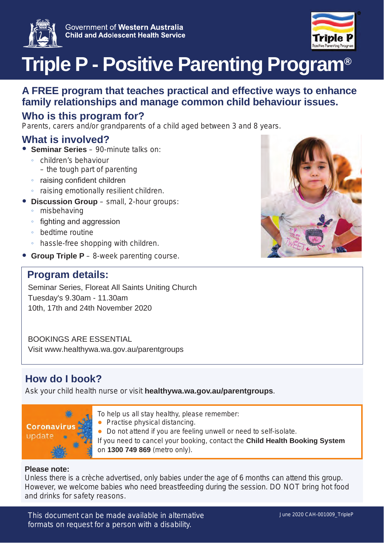



# **Triple P - Positive Parenting Program®**

### **A FREE program that teaches practical and effective ways to enhance family relationships and manage common child behaviour issues.**

# **Who is this program for?**

Parents, carers and/or grandparents of a child aged between 3 and 8 years.

#### **What is involved?**

- Ɣ **Seminar Series**  90-minute talks on:
	- ƕ children's behaviour – the tough part of parenting
	- raising confident children
	- raising emotionally resilient children.
- Ɣ **Discussion Group**  small, 2-hour groups:
	- misbehaving
	- fighting and aggression
	- ƕ bedtime routine
	- ƕ hassle-free shopping with children.
- Ɣ **Group Triple P**  8-week parenting course.

#### **Program details:**

Seminar Series, Floreat All Saints Uniting Church Tuesday's 9.30am - 11.30am 10th, 17th and 24th November 2020

BOOKINGS ARE ESSENTIAL Visit www.healthywa.wa.gov.au/parentgroups

# **How do I book?**

Ask your child health nurse or visit **healthywa.wa.gov.au/parentgroups**.



- To help us all stay healthy, please remember:
- Practise physical distancing.
- Ɣ Do not attend if you are feeling unwell or need to self-isolate.
- If you need to cancel your booking, contact the **Child Health Booking System** on **1300 749 869** (metro only).

#### **Please note:**

Unless there is a crèche advertised, only babies under the age of 6 months can attend this group. However, we welcome babies who need breastfeeding during the session. DO NOT bring hot food and drinks for safety reasons.

This document can be made available in alternative formats on request for a person with a disability.